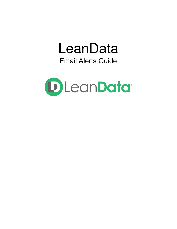# LeanData Email Alerts Guide

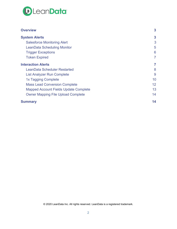

| <b>Overview</b>                              | $\mathbf{3}$            |
|----------------------------------------------|-------------------------|
| <b>System Alerts</b>                         | $\overline{\mathbf{3}}$ |
| <b>Salesforce Monitoring Alert</b>           | 3                       |
| <b>LeanData Scheduling Monitor</b>           | 5                       |
| <b>Trigger Exceptions</b>                    | 6                       |
| <b>Token Expired</b>                         | 7                       |
| <b>Interaction Alerts</b>                    | 7                       |
| <b>LeanData Scheduler Restarted</b>          | 8                       |
| <b>List Analyzer Run Complete</b>            | 9                       |
| 1x Tagging Complete                          | 10                      |
| <b>Mass Lead Conversion Complete</b>         | 12                      |
| <b>Mapped Account Fields Update Complete</b> | 13                      |
| <b>Owner Mapping File Upload Complete</b>    | 14                      |
| <b>Summary</b>                               | 14                      |

© 2020 LeanData Inc. All rights reserved. LeanData is a registered trademark.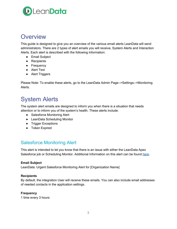

# <span id="page-2-0"></span>**Overview**

This guide is designed to give you an overview of the various email alerts LeanData will send administrators. There are 2 types of alert emails you will receive, System Alerts and Interaction Alerts. Each alert is described with the following information:

- Email Subject
- Recipients
- Frequency
- Alert Text
- Alert Triggers

Please Note: To enable these alerts, go to the LeanData Admin Page-->Settings-->Monitoring Alerts.

# <span id="page-2-1"></span>System Alerts

The system alert emails are designed to inform you when there is a situation that needs attention or to inform you of the system's health. These alerts include:

- Salesforce Monitoring Alert
- LeanData Scheduling Monitor
- Trigger Exceptions
- Token Expired

### <span id="page-2-2"></span>Salesforce Monitoring Alert

This alert is intended to let you know that there is an issue with either the LeanData Apex Salesforce job or Scheduling Monitor. Additional Information on this alert can be found [here](https://leandatahelp.zendesk.com/hc/en-us/articles/360038997433-LeanData-Scheduled-Jobs).

#### **Email Subject**

LeanData: Urgent Salesforce Monitoring Alert for [Organization Name]

#### **Recipients**

By default, the integration User will receive these emails. You can also include email addresses of needed contacts in the application settings.

#### **Frequency**

1 time every 3 hours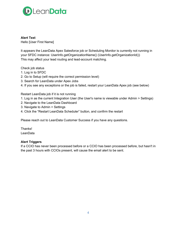

**Alert Text**

Hello [User First Name]

It appears the LeanData Apex Salesforce job or Scheduling Monitor is currently not running in your SFDC instance: UserInfo.getOrganizationName() (UserInfo.getOrganizationId()) This may affect your lead routing and lead-account matching.

Check job status

- 1. Log in to SFDC
- 2. Go to Setup (will require the correct permission level)
- 3. Search for LeanData under Apex Jobs
- 4. If you see any exceptions or the job is failed, restart your LeanData Apex job (see below)

Restart LeanData job if it is not running

- 1. Log in as the current Integration User (the User's name is viewable under Admin > Settings)
- 2. Navigate to the LeanData Dashboard
- 3. Navigate to Admin > Settings
- 4. Click the "Restart LeanData Scheduler" button, and confirm the restart

Please reach out to LeanData Customer Success if you have any questions.

Thanks! **LeanData** 

#### **Alert Triggers**

If a CCIO has never been processed before or a CCIO has been processed before, but hasn't in the past 3 hours with CCIOs present, will cause the email alert to be sent.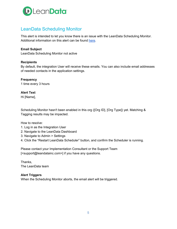

# <span id="page-4-0"></span>LeanData Scheduling Monitor

This alert is intended to let you know there is an issue with the LeanData Scheduling Monitor. Additional information on this alert can be found [here](https://leandatahelp.zendesk.com/hc/en-us/articles/360038997433-LeanData-Scheduled-Jobs).

#### **Email Subject**

LeanData Scheduling Monitor not active

#### **Recipients**

By default, the integration User will receive these emails. You can also include email addresses of needed contacts in the application settings.

# **Frequency**

1 time every 3 hours

**Alert Text** Hi [Name],

Scheduling Monitor hasn't been enabled in this org ([Org ID], [Org Type]) yet. Matching & Tagging results may be impacted.

How to resolve:

- 1. Log in as the Integration User
- 2. Navigate to the LeanData Dashboard
- 3. Navigate to Admin > Settings
- 4. Click the "Restart LeanData Scheduler" button, and confirm the Scheduler is running.

Please contact your Implementation Consultant or the Support Team [<support@leandatainc.com>] if you have any questions.

Thanks, The LeanData team

#### **Alert Triggers**

When the Scheduling Monitor aborts, the email alert will be triggered.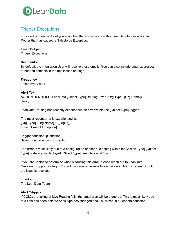

# <span id="page-5-0"></span>Trigger Exceptions

This alert is intended to let you know that there is an issue with a LeanData trigger action in Router that has caused a Salesforce Exception.

#### **Email Subject**

Trigger Exceptions

#### **Recipients**

By default, the integration User will receive these emails. You can also include email addresses of needed contacts in the application settings.

#### **Frequency**

1 time every hour.

#### **Alert Text**

ACTION REQUIRED: LeanData [Object Type] Routing Error ([Org Type]: [Org Name]) Hello,

LeanData Routing has recently experienced an error within the [Object Type] trigger.

The most recent error is experienced is: [Org Type]: [Org Name] + ([Org Id]) Time: [Time of Exception]

Trigger condition: [Condition] Salesforce Exception: [Exception]

The error is most likely due to a configuration or filter rule setting within the [Action Type] [Object Type] node in your deployed [Object Type] LeanData workflow

If you are unable to determine what is causing this error, please reach out to LeanData Customer Support for help. You will continue to receive this email on an hourly frequency until the issue is resolved.

Thanks, The LeanData Team

#### **Alert Triggers**

If CCIOs are failing or Live Routing fails, the email alert will be triggered. This is most likely due to a field has been deleted or its type has changed and it's utilized in a Leanata condition.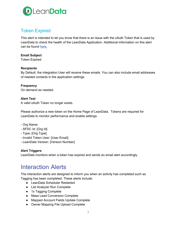

### <span id="page-6-0"></span>Token Expired

This alert is intended to let you know that there is an issue with the oAuth Token that is used by LeanData to check the health of the LeanData Application. Additional information on this alert can be found [here.](https://leandatahelp.zendesk.com/hc/en-us/articles/360005472333-The-LeanData-Product-is-Not-Working-No-Routing)

#### **Email Subject**

Token Expired

#### **Recipients**

By Default, the integration User will receive these emails. You can also include email addresses of needed contacts in the application settings.

#### **Frequency**

On demand as needed.

#### **Alert Text**

A valid oAuth Token no longer exists.

Please authorize a new token on the Home Page of LeanData. Tokens are required for LeanData to monitor performance and enable settings.

- Org Name:
- SFDC Id: [Org Id]
- Type: [Org Type]
- Invalid Token User: [User Email]
- LeanData Version: [Version Number]

#### **Alert Triggers**

<span id="page-6-1"></span>LeanData monitors when a token has expired and sends an email alert accordingly.

# Interaction Alerts

The interaction alerts are designed to inform you when an activity has completed such as Tagging has been completed. These alerts include:

- LeanData Scheduler Restarted
- List Analyzer Run Complete
- 1x Tagging Complete
- Mass Lead Conversion Complete
- Mapped Account Fields Update Complete
- Owner Mapping File Upload Complete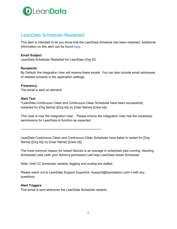

### <span id="page-7-0"></span>LeanData Scheduler Restarted

This alert is intended to let you know that the LeanData Schedule has been restarted. Additional information on this alert can be found [here.](https://leandatahelp.zendesk.com/hc/en-us/articles/360038997433-LeanData-Scheduled-Jobs)

#### **Email Subject**

LeanData Scheduler Restarted for LeanData (Org ID)

#### **Recipients**

By Default, the integration User will receive these emails. You can also include email addresses of needed contacts in the application settings.

#### **Frequency**

The email is sent on demand.

#### **Alert Text**

"LeanData Continuous Clean and Continuous Clean Scheduler have been successfully restarted for [Org Name] ([Org Id]) by [User Name] ([User Id])

This User is now the Integration User. Please ensure the Integration User has the necessary permissions for LeanData to function as expected.

----------------------------------------------------------------------------

LeanData Continuous Clean and Continuous Clean Scheduler have failed to restart for [Org Name] ([Org Id]) by [User Name] ([User Id])

The most common reason for restart failures is an overage in scheduled jobs running. Aborting Scheduled Jobs (with your Admin's permission) will help LeanData restart Scheduler.

Note: Until CC Scheduler restarts, tagging and routing are stalled.

Please reach out to LeanData Support (hyperlink <support@leandatainc.com>) with any questions.

#### **Alert Triggers**

This email is sent whenever the LeanData Scheduler restarts.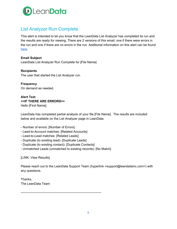

# <span id="page-8-0"></span>List Analyzer Run Complete

This alert is intended to let you know that the LeanData List Analyzer has completed its run and the results are ready for viewing. There are 2 versions of this email, one if there were errors in the run and one if there are no errors in the run. Additional information on this alert can be found [here](https://leandatahelp.zendesk.com/hc/en-us/articles/360016338134-Matching-List-Analyzer-Overview).

**Email Subject** LeanData List Analyzer Run Complete for [File Name]

**Recipients** The user that started the List Analyzer run.

**Frequency** On demand as needed.

**Alert Text <<IF THERE ARE ERRORS>>** Hello [First Name],

LeanData has completed partial analysis of your file [File Name]. The results are included below and available on the List Analyzer page in LeanData.

- Number of errors: [Number of Errors] :
- Lead-to-Account matches: [Related Accounts]
- Lead-to-Lead matches: [Related Leads]
- Duplicate (to existing lead): [Duplicate Leads]
- Duplicate (to existing contact): [Duplicate Contacts]
- Unmatched Leads (unmatched to existing records): [No Match]

[LINK: View Results]

Please reach out to the LeanData Support Team (hyperlink <support@leandatainc.com>) with any questions.

Thanks, The LeanData Team

----------------------------------------------------------------------------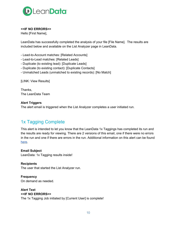

#### **<<IF NO ERRORS>>**

Hello [First Name],

LeanData has successfully completed the analysis of your file [File Name]. The results are included below and available on the List Analyzer page in LeanData.

- Lead-to-Account matches: [Related Accounts]
- Lead-to-Lead matches: [Related Leads]
- Duplicate (to existing lead): [Duplicate Leads]
- Duplicate (to existing contact): [Duplicate Contacts]
- Unmatched Leads (unmatched to existing records): [No Match]

[LINK: View Results]

Thanks, The LeanData Team

#### **Alert Triggers**

The alert email is triggered when the List Analyzer completes a user initiated run.

# <span id="page-9-0"></span>1x Tagging Complete

This alert is intended to let you know that the LeanData 1x Taggings has completed its run and the results are ready for viewing. There are 2 versions of this email, one if there were no errors in the run and one if there are errors in the run. Additional information on this alert can be found [here](https://leandatahelp.zendesk.com/hc/en-us/articles/360018808274-Matching-One-Time-Tagging-Guide).

**Email Subject** LeanData: 1x Tagging results inside!

**Recipients** The user that started the List Analyzer run.

**Frequency** On demand as needed.

**Alert Text <<IF NO ERRORS>>** The 1x Tagging Job initiated by [Current User] is complete!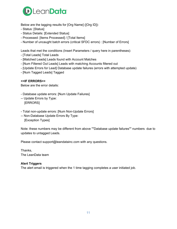

Below are the tagging results for [Org Name] ([Org ID]):

- Status: [Status]
- Status Details: [Extended Status]
- Processed: [Items Processed] / [Total Items]
- Number of uncaught batch errors (critical SFDC errors) : [Number of Errors]

Leads that met the conditions (Insert Parameters / query here in parentheses):

- [Total Leads] Total Leads
- [Matched Leads] Leads found with Account Matches
- [Num Filtered Out Leads] Leads with matching Accounts filtered out
- [Update Errors for Lead] Database update failures (errors with attempted update)
- [Num Tagged Leads] Tagged

#### **<<IF ERRORS>>**

Below are the error details:

- Database update errors: [Num Update Failures]
- -- Update Errors by Type: [ERRORS]
- Total non-update errors: [Num Non-Update Errors]
- -- Non-Database Update Errors By Type: [Exception Types]

Note: these numbers may be different from above ""Database update failures"" numbers due to updates to untagged Leads.

Please contact support@leandatainc.com with any questions.

Thanks, The LeanData team

#### **Alert Triggers**

The alert email is triggered when the 1 time tagging completes a user initiated job.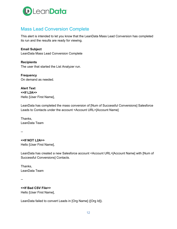

# <span id="page-11-0"></span>Mass Lead Conversion Complete

This alert is intended to let you know that the LeanData Mass Lead Conversion has completed its run and the results are ready for viewing.

**Email Subject** LeanData Mass Lead Conversion Complete

**Recipients** The user that started the List Analyzer run.

**Frequency** On demand as needed.

**Alert Text <<If L2A>>** Hello [User First Name],

LeanData has completed the mass conversion of [Num of Successful Conversions] Salesforce Leads to Contacts under the account <Account URL>[Account Name]

Thanks, LeanData Team

--

**<<If NOT L2A>>** Hello [User First Name],

LeanData has created a new Salesforce account <Account URL>[Account Name] with [Num of Successful Conversions] Contacts.

Thanks, LeanData Team

--

**<<If Bad CSV File>>** Hello [User First Name],

LeanData failed to convert Leads in [Org Name] ([Org Id]).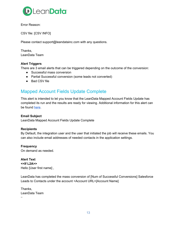

Error Reason:

CSV file: [CSV INFO]

Please contact support@leandatainc.com with any questions.

Thanks, LeanData Team

#### **Alert Triggers**

There are 3 email alerts that can be triggered depending on the outcome of the conversion:

- Successful mass conversion
- Partial Successful conversion (some leads not converted)
- Bad CSV file

### <span id="page-12-0"></span>Mapped Account Fields Update Complete

This alert is intended to let you know that the LeanData Mapped Account Fields Update has completed its run and the results are ready for viewing. Additional information for this alert can be found [here.](https://leandatahelp.zendesk.com/hc/en-us/articles/360006922653-Matching-Mapped-Account-Fields-Guide)

#### **Email Subject**

LeanData Mapped Account Fields Update Complete

#### **Recipients**

By Default, the integration user and the user that initiated the job will receive these emails. You can also include email addresses of needed contacts in the application settings.

**Frequency**

On demand as needed.

**Alert Text <<If L2A>>** Hello [User first name] ,

LeanData has completed the mass conversion of [Num of Successful Conversions] Salesforce Leads to Contacts under the account <Account URL>[Account Name]

Thanks, LeanData Team --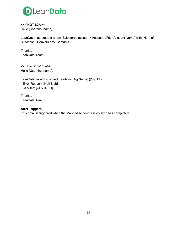

**<<If NOT L2A>>** Hello [User first name],

LeanData has created a new Salesforce account <Account URL>[Account Name] with [Num of Successful Conversions] Contacts.

Thanks, LeanData Team --

**<<If Bad CSV File>>** Hello [User first name],

LeanData failed to convert Leads in [Org Name] ([Org Id]). - Error Reason: [Null Blob] - CSV file: [CSV INFO]

Thanks, LeanData Team

#### **Alert Triggers**

This email is triggered when the Mapped Account Fields sync has completed.